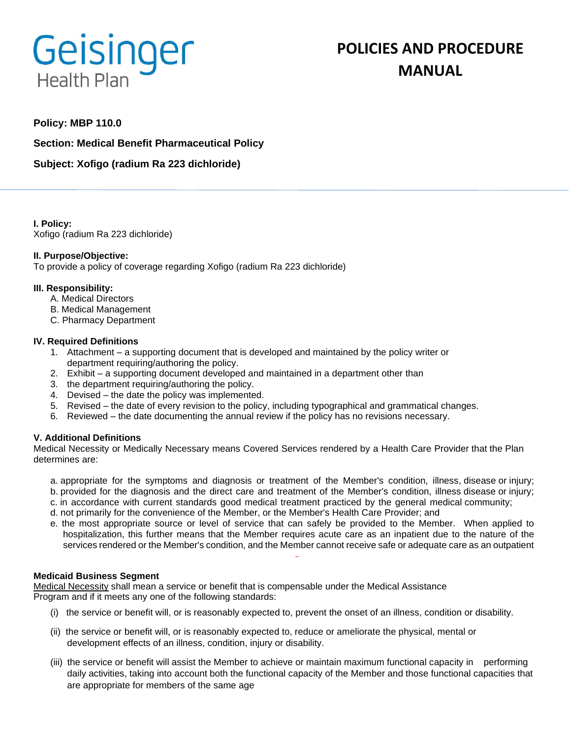# Geisinger **Health Plan**

## **POLICIES AND PROCEDURE MANUAL**

### **Policy: MBP 110.0**

**Section: Medical Benefit Pharmaceutical Policy**

**Subject: Xofigo (radium Ra 223 dichloride)**

**I. Policy:** Xofigo (radium Ra 223 dichloride)

#### **II. Purpose/Objective:**

To provide a policy of coverage regarding Xofigo (radium Ra 223 dichloride)

#### **III. Responsibility:**

- A. Medical Directors
- B. Medical Management
- C. Pharmacy Department

#### **IV. Required Definitions**

- 1. Attachment a supporting document that is developed and maintained by the policy writer or department requiring/authoring the policy.
- 2. Exhibit a supporting document developed and maintained in a department other than
- 3. the department requiring/authoring the policy.
- 4. Devised the date the policy was implemented.
- 5. Revised the date of every revision to the policy, including typographical and grammatical changes.
- 6. Reviewed the date documenting the annual review if the policy has no revisions necessary.

#### **V. Additional Definitions**

Medical Necessity or Medically Necessary means Covered Services rendered by a Health Care Provider that the Plan determines are:

- a. appropriate for the symptoms and diagnosis or treatment of the Member's condition, illness, disease or injury; b. provided for the diagnosis and the direct care and treatment of the Member's condition, illness disease or injury;
- 
- c. in accordance with current standards good medical treatment practiced by the general medical community;
- d. not primarily for the convenience of the Member, or the Member's Health Care Provider; and
- e. the most appropriate source or level of service that can safely be provided to the Member. When applied to hospitalization, this further means that the Member requires acute care as an inpatient due to the nature of the services rendered or the Member's condition, and the Member cannot receive safe or adequate care as an outpatient

#### **Medicaid Business Segment**

Medical Necessity shall mean a service or benefit that is compensable under the Medical Assistance Program and if it meets any one of the following standards:

- (i) the service or benefit will, or is reasonably expected to, prevent the onset of an illness, condition or disability.
- (ii) the service or benefit will, or is reasonably expected to, reduce or ameliorate the physical, mental or development effects of an illness, condition, injury or disability.
- (iii) the service or benefit will assist the Member to achieve or maintain maximum functional capacity in performing daily activities, taking into account both the functional capacity of the Member and those functional capacities that are appropriate for members of the same age